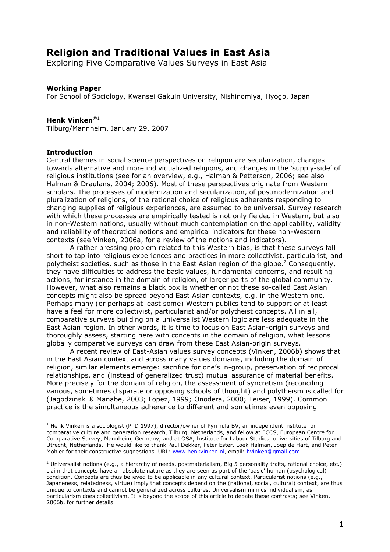# **Religion and Traditional Values in East Asia**

Exploring Five Comparative Values Surveys in East Asia

# **Working Paper**

For School of Sociology, Kwansei Gakuin University, Nishinomiya, Hyogo, Japan

# Henk Vinken<sup>©1</sup>

Tilburg/Mannheim, January 29, 2007

# **Introduction**

Central themes in social science perspectives on religion are secularization, changes towards alternative and more individualized religions, and changes in the 'supply-side' of religious institutions (see for an overview, e.g., Halman & Petterson, 2006; see also Halman & Draulans, 2004; 2006). Most of these perspectives originate from Western scholars. The processes of modernization and secularization, of postmodernization and pluralization of religions, of the rational choice of religious adherents responding to changing supplies of religious experiences, are assumed to be universal. Survey research with which these processes are empirically tested is not only fielded in Western, but also in non-Western nations, usually without much contemplation on the applicability, validity and reliability of theoretical notions and empirical indicators for these non-Western contexts (see Vinken, 2006a, for a review of the notions and indicators).

A rather pressing problem related to this Western bias, is that these surveys fall short to tap into religious experiences and practices in more collectivist, particularist, and polytheist societies, such as those in the East Asian region of the globe.<sup>2</sup> Consequently, they have difficulties to address the basic values, fundamental concerns, and resulting actions, for instance in the domain of religion, of larger parts of the global community. However, what also remains a black box is whether or not these so-called East Asian concepts might also be spread beyond East Asian contexts, e.g. in the Western one. Perhaps many (or perhaps at least some) Western publics tend to support or at least have a feel for more collectivist, particularist and/or polytheist concepts. All in all, comparative surveys building on a universalist Western logic are less adequate in the East Asian region. In other words, it is time to focus on East Asian-origin surveys and thoroughly assess, starting here with concepts in the domain of religion, what lessons globally comparative surveys can draw from these East Asian-origin surveys.

A recent review of East-Asian values survey concepts (Vinken, 2006b) shows that in the East Asian context and across many values domains, including the domain of religion, similar elements emerge: sacrifice for one's in-group, preservation of reciprocal relationships, and (instead of generalized trust) mutual assurance of material benefits. More precisely for the domain of religion, the assessment of syncretism (reconciling various, sometimes disparate or opposing schools of thought) and polytheism is called for (Jagodzinski & Manabe, 2003; Lopez, 1999; Onodera, 2000; Teiser, 1999). Common practice is the simultaneous adherence to different and sometimes even opposing

 $1$  Henk Vinken is a sociologist (PhD 1997), director/owner of Pyrrhula BV, an independent institute for comparative culture and generation research, Tilburg, Netherlands, and fellow at ECCS, European Centre for Comparative Survey, Mannheim, Germany, and at OSA, Institute for Labour Studies, universities of Tilburg and Utrecht, Netherlands. He would like to thank Paul Dekker, Peter Ester, Loek Halman, Joep de Hart, and Peter Mohler for their constructive suggestions. URL: www.henkvinken.nl, email: hvinken@qmail.com.

<sup>&</sup>lt;sup>2</sup> Universalist notions (e.g., a hierarchy of needs, postmaterialism, Big 5 personality traits, rational choice, etc.) claim that concepts have an absolute nature as they are seen as part of the 'basic' human (psychological) condition. Concepts are thus believed to be applicable in any cultural context. Particularist notions (e.g., Japaneness, relatedness, virtue) imply that concepts depend on the (national, social, cultural) context, are thus unique to contexts and cannot be generalized across cultures. Universalism mimics individualism, as particularism does collectivism. It is beyond the scope of this article to debate these contrasts; see Vinken, 2006b, for further details.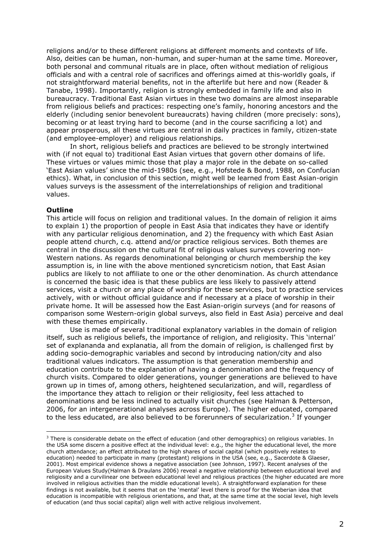religions and/or to these different religions at different moments and contexts of life. Also, deities can be human, non-human, and super-human at the same time. Moreover, both personal and communal rituals are in place, often without mediation of religious officials and with a central role of sacrifices and offerings aimed at this-worldly goals, if not straightforward material benefits, not in the afterlife but here and now (Reader & Tanabe, 1998). Importantly, religion is strongly embedded in family life and also in bureaucracy. Traditional East Asian virtues in these two domains are almost inseparable from religious beliefs and practices: respecting one's family, honoring ancestors and the elderly (including senior benevolent bureaucrats) having children (more precisely: sons), becoming or at least trying hard to become (and in the course sacrificing a lot) and appear prosperous, all these virtues are central in daily practices in family, citizen-state (and employee-employer) and religious relationships.

In short, religious beliefs and practices are believed to be strongly intertwined with (if not equal to) traditional East Asian virtues that govern other domains of life. These virtues or values mimic those that play a major role in the debate on so-called 'East Asian values' since the mid-1980s (see, e.g., Hofstede & Bond, 1988, on Confucian ethics). What, in conclusion of this section, might well be learned from East Asian-origin values surveys is the assessment of the interrelationships of religion and traditional values.

### **Outline**

This article will focus on religion and traditional values. In the domain of religion it aims to explain 1) the proportion of people in East Asia that indicates they have or identify with any particular religious denomination, and 2) the frequency with which East Asian people attend church, c.g. attend and/or practice religious services. Both themes are central in the discussion on the cultural fit of religious values surveys covering non-Western nations. As regards denominational belonging or church membership the key assumption is, in line with the above mentioned syncreticism notion, that East Asian publics are likely to not affiliate to one or the other denomination. As church attendance is concerned the basic idea is that these publics are less likely to passively attend services, visit a church or any place of worship for these services, but to practice services actively, with or without official quidance and if necessary at a place of worship in their private home. It will be assessed how the East Asian-origin surveys (and for reasons of comparison some Western-origin global surveys, also field in East Asia) perceive and deal with these themes empirically.

Use is made of several traditional explanatory variables in the domain of religion itself, such as religious beliefs, the importance of religion, and religiosity. This 'internal' set of explananda and explanatia, all from the domain of religion, is challenged first by adding socio-demographic variables and second by introducing nation/city and also traditional values indicators. The assumption is that generation membership and education contribute to the explanation of having a denomination and the frequency of church visits. Compared to older generations, younger generations are believed to have grown up in times of, among others, heightened secularization, and will, regardless of the importance they attach to religion or their religiosity, feel less attached to denominations and be less inclined to actually visit churches (see Halman & Petterson, 2006, for an intergenerational analyses across Europe). The higher educated, compared to the less educated, are also believed to be forerunners of secularization.<sup>3</sup> If younger

<sup>&</sup>lt;sup>3</sup> There is considerable debate on the effect of education (and other demographics) on religious variables. In the USA some discern a positive effect at the individual level: e.g., the higher the educational level, the more church attendance; an effect attributed to the high shares of social capital (which positively relates to education) needed to participate in many (protestant) religions in the USA (see, e.g., Sacerdote & Glaeser, 2001). Most empirical evidence shows a negative association (see Johnson, 1997). Recent analyses of the European Values Study (Halman & Draulans 2006) reveal a negative relationship between educational level and religiosity and a curvilinear one between educational level and religious practices (the higher educated are more involved in religious activities than the middle educational levels). A straightforward explanation for these findings is not available, but it seems that on the 'mental' level there is proof for the Weberian idea that education is incompatible with religious orientations, and that, at the same time at the social level, high levels of education (and thus social capital) align well with active religious involvement.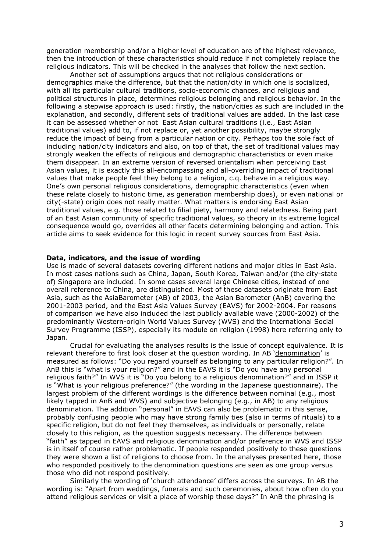generation membership and/or a higher level of education are of the highest relevance, then the introduction of these characteristics should reduce if not completely replace the religious indicators. This will be checked in the analyses that follow the next section.

Another set of assumptions argues that not religious considerations or demographics make the difference, but that the nation/city in which one is socialized, with all its particular cultural traditions, socio-economic chances, and religious and political structures in place, determines religious belonging and religious behavior. In the following a stepwise approach is used: firstly, the nation/cities as such are included in the explanation, and secondly, different sets of traditional values are added. In the last case it can be assessed whether or not East Asian cultural traditions (i.e., East Asian traditional values) add to, if not replace or, yet another possibility, maybe strongly reduce the impact of being from a particular nation or city. Perhaps too the sole fact of including nation/city indicators and also, on top of that, the set of traditional values may strongly weaken the effects of religious and demographic characteristics or even make them disappear. In an extreme version of reversed orientalism when perceiving East Asian values, it is exactly this all-encompassing and all-overriding impact of traditional values that make people feel they belong to a religion, c.g. behave in a religious way. One's own personal religious considerations, demographic characteristics (even when these relate closely to historic time, as generation membership does), or even national or city(-state) origin does not really matter. What matters is endorsing East Asian traditional values, e.g. those related to filial piety, harmony and relatedness. Being part of an East Asian community of specific traditional values, so theory in its extreme logical consequence would go, overrides all other facets determining belonging and action. This article aims to seek evidence for this logic in recent survey sources from East Asia.

# Data, indicators, and the issue of wording

Use is made of several datasets covering different nations and major cities in East Asia. In most cases nations such as China, Japan, South Korea, Taiwan and/or (the city-state of) Singapore are included. In some cases several large Chinese cities, instead of one overall reference to China, are distinguished. Most of these datasets originate from East Asia, such as the AsiaBarometer (AB) of 2003, the Asian Barometer (AnB) covering the 2001-2003 period, and the East Asia Values Survey (EAVS) for 2002-2004. For reasons of comparison we have also included the last publicly available wave (2000-2002) of the predominantly Western-origin World Values Survey (WVS) and the International Social Survey Programme (ISSP), especially its module on religion (1998) here referring only to Japan.

Crucial for evaluating the analyses results is the issue of concept equivalence. It is relevant therefore to first look closer at the question wording. In AB 'denomination' is measured as follows: "Do you regard yourself as belonging to any particular religion?". In AnB this is "what is your religion?" and in the EAVS it is "Do you have any personal religious faith?" In WVS it is "Do you belong to a religious denomination?" and in ISSP it is "What is your religious preference?" (the wording in the Japanese questionnaire). The largest problem of the different wordings is the difference between nominal (e.g., most likely tapped in AnB and WVS) and subjective belonging (e.g., in AB) to any religious denomination. The addition "personal" in EAVS can also be problematic in this sense, probably confusing people who may have strong family ties (also in terms of rituals) to a specific religion, but do not feel they themselves, as individuals or personally, relate closely to this religion, as the question suggests necessary. The difference between "faith" as tapped in EAVS and religious denomination and/or preference in WVS and ISSP is in itself of course rather problematic. If people responded positively to these questions they were shown a list of religions to choose from. In the analyses presented here, those who responded positively to the denomination questions are seen as one group versus those who did not respond positively.

Similarly the wording of 'church attendance' differs across the surveys. In AB the wording is: "Apart from weddings, funerals and such ceremonies, about how often do you attend religious services or visit a place of worship these days?" In AnB the phrasing is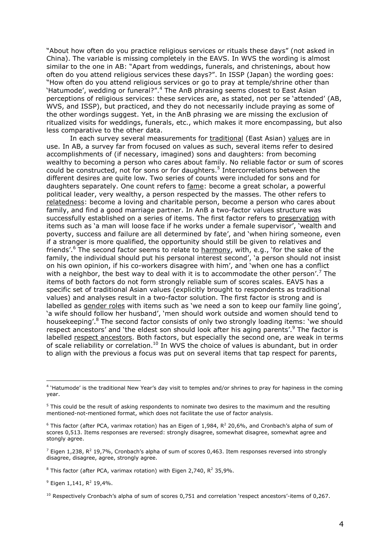"About how often do you practice religious services or rituals these days" (not asked in China). The variable is missing completely in the EAVS. In WVS the wording is almost similar to the one in AB: "Apart from weddings, funerals, and christenings, about how often do you attend religious services these days?". In ISSP (Japan) the wording goes: "How often do you attend religious services or go to pray at temple/shrine other than 'Hatumode', wedding or funeral?".<sup>4</sup> The AnB phrasing seems closest to East Asian perceptions of religious services: these services are, as stated, not per se 'attended' (AB, WVS, and ISSP), but practiced, and they do not necessarily include praying as some of the other wordings suggest. Yet, in the AnB phrasing we are missing the exclusion of ritualized visits for weddings, funerals, etc., which makes it more encompassing, but also less comparative to the other data.

In each survey several measurements for traditional (East Asian) values are in use. In AB, a survey far from focused on values as such, several items refer to desired accomplishments of (if necessary, imagined) sons and daughters: from becoming wealthy to becoming a person who cares about family. No reliable factor or sum of scores could be constructed, not for sons or for daughters.<sup>5</sup> Intercorrelations between the different desires are guite low. Two series of counts were included for sons and for daughters separately. One count refers to fame: become a great scholar, a powerful political leader, very wealthy, a person respected by the masses. The other refers to relatedness: become a loving and charitable person, become a person who cares about family, and find a good marriage partner. In AnB a two-factor values structure was successfully established on a series of items. The first factor refers to preservation with items such as 'a man will loose face if he works under a female supervisor', 'wealth and poverty, success and failure are all determined by fate', and 'when hiring someone, even if a stranger is more qualified, the opportunity should still be given to relatives and friends'.<sup>6</sup> The second factor seems to relate to harmony, with, e.g., 'for the sake of the family, the individual should put his personal interest second', 'a person should not insist on his own opinion, if his co-workers disagree with him', and 'when one has a conflict with a neighbor, the best way to deal with it is to accommodate the other person'. The items of both factors do not form strongly reliable sum of scores scales. EAVS has a specific set of traditional Asian values (explicitly brought to respondents as traditional values) and analyses result in a two-factor solution. The first factor is strong and is labelled as gender roles with items such as 'we need a son to keep our family line going', 'a wife should follow her husband', 'men should work outside and women should tend to housekeeping'.<sup>8</sup> The second factor consists of only two strongly loading items: 'we should respect ancestors' and 'the eldest son should look after his aging parents'.<sup>9</sup> The factor is labelled respect ancestors. Both factors, but especially the second one, are weak in terms of scale reliability or correlation.<sup>10</sup> In WVS the choice of values is abundant, but in order to align with the previous a focus was put on several items that tap respect for parents,

<sup>&</sup>lt;sup>4</sup> 'Hatumode' is the traditional New Year's day visit to temples and/or shrines to pray for hapiness in the coming year.

<sup>&</sup>lt;sup>5</sup> This could be the result of asking respondents to nominate two desires to the maximum and the resulting mentioned-not-mentioned format, which does not facilitate the use of factor analysis.

 $6$  This factor (after PCA, varimax rotation) has an Eigen of 1,984, R<sup>2</sup> 20,6%, and Cronbach's alpha of sum of scores 0,513. Items responses are reversed: strongly disagree, somewhat disagree, somewhat agree and stongly agree.

 $^7$  Eigen 1,238, R<sup>2</sup> 19,7%, Cronbach's alpha of sum of scores 0,463. Item responses reversed into strongly disagree, disagree, agree, strongly agree.

<sup>&</sup>lt;sup>8</sup> This factor (after PCA, varimax rotation) with Eigen 2,740, R<sup>2</sup> 35,9%.

 $9$  Eigen 1,141, R<sup>2</sup> 19,4%.

 $10$  Respectively Cronbach's alpha of sum of scores 0,751 and correlation 'respect ancestors'-items of 0,267.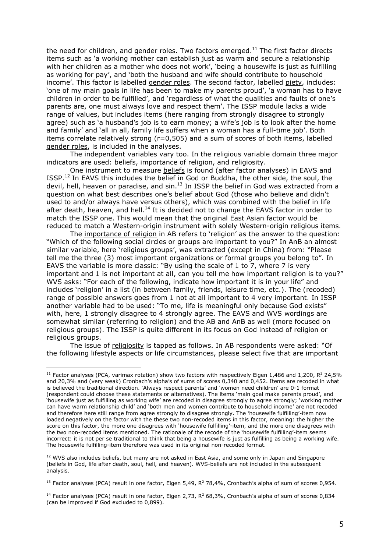the need for children, and gender roles. Two factors emerged.<sup>11</sup> The first factor directs items such as 'a working mother can establish just as warm and secure a relationship with her children as a mother who does not work', 'being a housewife is just as fulfilling as working for pay', and 'both the husband and wife should contribute to household income'. This factor is labelled gender roles. The second factor, labelled piety, includes: 'one of my main goals in life has been to make my parents proud', 'a woman has to have children in order to be fulfilled', and 'regardless of what the qualities and faults of one's parents are, one must always love and respect them'. The ISSP module lacks a wide range of values, but includes items (here ranging from strongly disagree to strongly agree) such as 'a husband's job is to earn money; a wife's job is to look after the home and family' and 'all in all, family life suffers when a woman has a full-time job'. Both items correlate relatively strong (r=0,505) and a sum of scores of both items, labelled gender roles, is included in the analyses.

The independent variables vary too. In the religious variable domain three major indicators are used: beliefs, importance of religion, and religiosity.

One instrument to measure beliefs is found (after factor analyses) in EAVS and ISSP.<sup>12</sup> In EAVS this includes the belief in God or Buddha, the other side, the soul, the devil, hell, heaven or paradise, and sin.<sup>13</sup> In ISSP the belief in God was extracted from a question on what best describes one's belief about God (those who believe and didn't used to and/or always have versus others), which was combined with the belief in life after death, heaven, and hell.<sup>14</sup> It is decided not to change the EAVS factor in order to match the ISSP one. This would mean that the original East Asian factor would be reduced to match a Western-origin instrument with solely Western-origin religious items.

The importance of religion in AB refers to 'religion' as the answer to the question: "Which of the following social circles or groups are important to you?" In AnB an almost similar variable, here 'religious groups', was extracted (except in China) from: "Please tell me the three (3) most important organizations or formal groups you belong to". In EAVS the variable is more classic: "By using the scale of 1 to 7, where 7 is very important and 1 is not important at all, can you tell me how important religion is to you?" WVS asks: "For each of the following, indicate how important it is in your life" and includes 'religion' in a list (in between family, friends, leisure time, etc.). The (recoded) range of possible answers goes from 1 not at all important to 4 very important. In ISSP another variable had to be used: "To me, life is meaningful only because God exists" with, here, 1 strongly disagree to 4 strongly agree. The EAVS and WVS wordings are somewhat similar (referring to religion) and the AB and AnB as well (more focused on religious groups). The ISSP is guite different in its focus on God instead of religion or religious groups.

The issue of religiosity is tapped as follows. In AB respondents were asked: "Of the following lifestyle aspects or life circumstances, please select five that are important

<sup>&</sup>lt;sup>11</sup> Factor analyses (PCA, varimax rotation) show two factors with respectively Eigen 1,486 and 1,200,  $R^2$  24,5% and 20,3% and (very weak) Cronbach's alpha's of sums of scores 0,340 and 0,452. Items are recoded in what is believed the traditional direction. 'Always respect parents' and 'women need children' are 0-1 format (respondent could choose these statements or alternatives). The items 'main goal make parents proud', and 'housewife just as fulfilling as working wife' are recoded in disagree strongly to agree strongly; 'working mother can have warm relationship child' and 'both men and women contribute to household income' are not recoded and therefore here still range from agree strongly to disagree strongly. The 'housewife fulfilling'-item now loaded negatively on the factor with the these two non-recoded items in this factor, meaning: the higher the score on this factor, the more one disagrees with 'housewife fulfilling'-item, and the more one disagrees with the two non-recoded items mentioned. The rationale of the recode of the 'housewife fulfilling'-item seems incorrect: it is not per se traditional to think that being a housewife is just as fulfilling as being a working wife. The housewife fulfilling-item therefore was used in its original non-recoded format.

<sup>&</sup>lt;sup>12</sup> WVS also includes beliefs, but many are not asked in East Asia, and some only in Japan and Singapore (beliefs in God, life after death, soul, hell, and heaven). WVS-beliefs are not included in the subsequent analysis.

<sup>&</sup>lt;sup>13</sup> Factor analyses (PCA) result in one factor, Eigen 5,49,  $R^2$  78,4%, Cronbach's alpha of sum of scores 0,954.

<sup>&</sup>lt;sup>14</sup> Factor analyses (PCA) result in one factor, Eigen 2,73,  $R^2$  68,3%, Cronbach's alpha of sum of scores 0,834 (can be improved if God excluded to 0,899).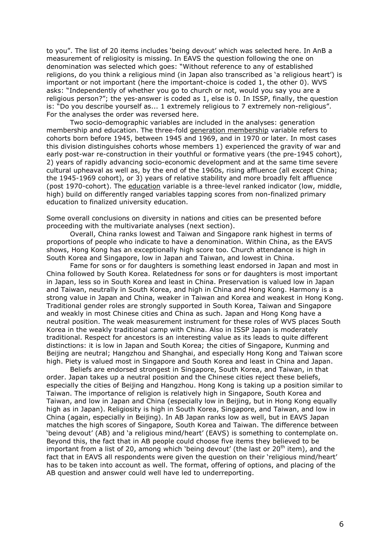to you". The list of 20 items includes 'being devout' which was selected here. In AnB a measurement of religiosity is missing. In EAVS the question following the one on denomination was selected which goes: "Without reference to any of established religions, do you think a religious mind (in Japan also transcribed as 'a religious heart') is important or not important (here the important-choice is coded 1, the other 0). WVS asks: "Independently of whether you go to church or not, would you say you are a religious person?"; the yes-answer is coded as 1, else is 0. In ISSP, finally, the question is: "Do you describe yourself as... 1 extremely religious to 7 extremely non-religious". For the analyses the order was reversed here.

Two socio-demographic variables are included in the analyses: generation membership and education. The three-fold generation membership variable refers to cohorts born before 1945, between 1945 and 1969, and in 1970 or later. In most cases this division distinguishes cohorts whose members 1) experienced the gravity of war and early post-war re-construction in their youthful or formative years (the pre-1945 cohort), 2) years of rapidly advancing socio-economic development and at the same time severe cultural upheaval as well as, by the end of the 1960s, rising affluence (all except China; the 1945-1969 cohort), or 3) years of relative stability and more broadly felt affluence (post 1970-cohort). The education variable is a three-level ranked indicator (low, middle, high) build on differently ranged variables tapping scores from non-finalized primary education to finalized university education.

Some overall conclusions on diversity in nations and cities can be presented before proceeding with the multivariate analyses (next section).

Overall, China ranks lowest and Taiwan and Singapore rank highest in terms of proportions of people who indicate to have a denomination. Within China, as the EAVS shows, Hong Kong has an exceptionally high score too. Church attendance is high in South Korea and Singapore, low in Japan and Taiwan, and lowest in China.

Fame for sons or for daughters is something least endorsed in Japan and most in China followed by South Korea. Relatedness for sons or for daughters is most important in Japan, less so in South Korea and least in China. Preservation is valued low in Japan and Taiwan, neutrally in South Korea, and high in China and Hong Kong. Harmony is a strong value in Japan and China, weaker in Taiwan and Korea and weakest in Hong Kong. Traditional gender roles are strongly supported in South Korea, Taiwan and Singapore and weakly in most Chinese cities and China as such. Japan and Hong Kong have a neutral position. The weak measurement instrument for these roles of WVS places South Korea in the weakly traditional camp with China, Also in ISSP Japan is moderately traditional. Respect for ancestors is an interesting value as its leads to quite different distinctions: it is low in Japan and South Korea; the cities of Singapore, Kunming and Beijing are neutral; Hangzhou and Shanghai, and especially Hong Kong and Taiwan score high. Piety is valued most in Singapore and South Korea and least in China and Japan.

Beliefs are endorsed strongest in Singapore, South Korea, and Taiwan, in that order. Japan takes up a neutral position and the Chinese cities reject these beliefs, especially the cities of Beijing and Hangzhou. Hong Kong is taking up a position similar to Taiwan. The importance of religion is relatively high in Singapore, South Korea and Taiwan, and low in Japan and China (especially low in Beijing, but in Hong Kong equally high as in Japan). Religiosity is high in South Korea, Singapore, and Taiwan, and low in China (again, especially in Beijing). In AB Japan ranks low as well, but in EAVS Japan matches the high scores of Singapore, South Korea and Taiwan. The difference between 'being devout' (AB) and 'a religious mind/heart' (EAVS) is something to contemplate on. Beyond this, the fact that in AB people could choose five items they believed to be important from a list of 20, among which 'being devout' (the last or 20<sup>th</sup> item), and the fact that in EAVS all respondents were given the question on their 'religious mind/heart' has to be taken into account as well. The format, offering of options, and placing of the AB question and answer could well have led to underreporting.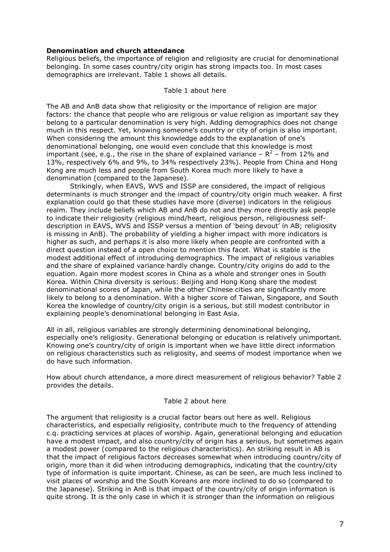# **Denomination and church attendance**

Religious beliefs, the importance of religion and religiosity are crucial for denominational belonging. In some cases country/city origin has strong impacts too. In most cases demographics are irrelevant. Table 1 shows all details.

### Table 1 about here

The AB and AnB data show that religiosity or the importance of religion are major factors: the chance that people who are religious or value religion as important say they belong to a particular denomination is very high. Adding demographics does not change much in this respect. Yet, knowing someone's country or city of origin is also important. When considering the amount this knowledge adds to the explanation of one's denominational belonging, one would even conclude that this knowledge is most important (see, e.g., the rise in the share of explained variance –  $R^2$  – from 12% and 13%, respectively 6% and 9%, to 34% respectively 23%). People from China and Hong Kong are much less and people from South Korea much more likely to have a denomination (compared to the Japanese).

Strikingly, when EAVS, WVS and ISSP are considered, the impact of religious determinants is much stronger and the impact of country/city origin much weaker. A first explanation could go that these studies have more (diverse) indicators in the religious realm. They include beliefs which AB and AnB do not and they more directly ask people to indicate their religiosity (religious mind/heart, religious person, religiousness selfdescription in EAVS, WVS and ISSP versus a mention of 'being devout' in AB; religiosity is missing in AnB). The probability of yielding a higher impact with more indicators is higher as such, and perhaps it is also more likely when people are confronted with a direct question instead of a open choice to mention this facet. What is stable is the modest additional effect of introducing demographics. The impact of religious variables and the share of explained variance hardly change. Country/city origins do add to the equation. Again more modest scores in China as a whole and stronger ones in South Korea. Within China diversity is serious: Beijing and Hong Kong share the modest denominational scores of Japan, while the other Chinese cities are significantly more likely to belong to a denomination. With a higher score of Taiwan, Singapore, and South Korea the knowledge of country/city origin is a serious, but still modest contributor in explaining people's denominational belonging in East Asia.

All in all, religious variables are strongly determining denominational belonging, especially one's religiosity. Generational belonging or education is relatively unimportant. Knowing one's country/city of origin is important when we have little direct information on religious characteristics such as religiosity, and seems of modest importance when we do have such information.

How about church attendance, a more direct measurement of religious behavior? Table 2 provides the details.

# Table 2 about here

The argument that religiosity is a crucial factor bears out here as well. Religious characteristics, and especially religiosity, contribute much to the frequency of attending c.g. practicing services at places of worship. Again, generational belonging and education have a modest impact, and also country/city of origin has a serious, but sometimes again a modest power (compared to the religious characteristics). An striking result in AB is that the impact of religious factors decreases somewhat when introducing country/city of origin, more than it did when introducing demographics, indicating that the country/city type of information is quite important. Chinese, as can be seen, are much less inclined to visit places of worship and the South Koreans are more inclined to do so (compared to the Japanese). Striking in AnB is that impact of the country/city of origin information is quite strong. It is the only case in which it is stronger than the information on religious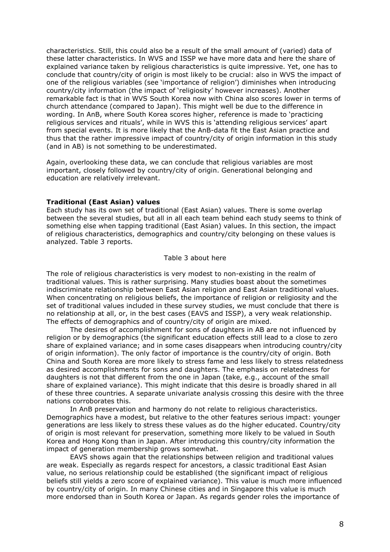characteristics. Still, this could also be a result of the small amount of (varied) data of these latter characteristics. In WVS and ISSP we have more data and here the share of explained variance taken by religious characteristics is quite impressive. Yet, one has to conclude that country/city of origin is most likely to be crucial: also in WVS the impact of one of the religious variables (see 'importance of religion') diminishes when introducing country/city information (the impact of 'religiosity' however increases). Another remarkable fact is that in WVS South Korea now with China also scores lower in terms of church attendance (compared to Japan). This might well be due to the difference in wording. In AnB, where South Korea scores higher, reference is made to 'practicing religious services and rituals', while in WVS this is 'attending religious services' apart from special events. It is more likely that the AnB-data fit the East Asian practice and thus that the rather impressive impact of country/city of origin information in this study (and in AB) is not something to be underestimated.

Again, overlooking these data, we can conclude that religious variables are most important, closely followed by country/city of origin. Generational belonging and education are relatively irrelevant.

### **Traditional (East Asian) values**

Each study has its own set of traditional (East Asian) values. There is some overlap between the several studies, but all in all each team behind each study seems to think of something else when tapping traditional (East Asian) values. In this section, the impact of religious characteristics, demographics and country/city belonging on these values is analyzed. Table 3 reports.

#### Table 3 about here

The role of religious characteristics is very modest to non-existing in the realm of traditional values. This is rather surprising. Many studies boast about the sometimes indiscriminate relationship between East Asian religion and East Asian traditional values. When concentrating on religious beliefs, the importance of religion or religiosity and the set of traditional values included in these survey studies, we must conclude that there is no relationship at all, or, in the best cases (EAVS and ISSP), a very weak relationship. The effects of demographics and of country/city of origin are mixed.

The desires of accomplishment for sons of daughters in AB are not influenced by religion or by demographics (the significant education effects still lead to a close to zero share of explained variance; and in some cases disappears when introducing country/city of origin information). The only factor of importance is the country/city of origin. Both China and South Korea are more likely to stress fame and less likely to stress relatedness as desired accomplishments for sons and daughters. The emphasis on relatedness for daughters is not that different from the one in Japan (take, e.g., account of the small share of explained variance). This might indicate that this desire is broadly shared in all of these three countries. A separate univariate analysis crossing this desire with the three nations corroborates this.

In AnB preservation and harmony do not relate to religious characteristics. Demographics have a modest, but relative to the other features serious impact: younger generations are less likely to stress these values as do the higher educated. Country/city of origin is most relevant for preservation, something more likely to be valued in South Korea and Hong Kong than in Japan. After introducing this country/city information the impact of generation membership grows somewhat.

EAVS shows again that the relationships between religion and traditional values are weak. Especially as regards respect for ancestors, a classic traditional East Asian value, no serious relationship could be established (the significant impact of religious beliefs still yields a zero score of explained variance). This value is much more influenced by country/city of origin. In many Chinese cities and in Singapore this value is much more endorsed than in South Korea or Japan. As regards gender roles the importance of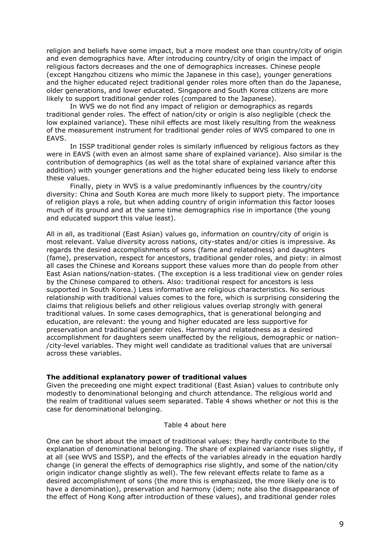religion and beliefs have some impact, but a more modest one than country/city of origin and even demographics have. After introducing country/city of origin the impact of religious factors decreases and the one of demographics increases. Chinese people (except Hangzhou citizens who mimic the Japanese in this case), younger generations and the higher educated reject traditional gender roles more often than do the Japanese, older generations, and lower educated. Singapore and South Korea citizens are more likely to support traditional gender roles (compared to the Japanese).

In WVS we do not find any impact of religion or demographics as regards traditional gender roles. The effect of nation/city or origin is also negligible (check the low explained variance). These nihil effects are most likely resulting from the weakness of the measurement instrument for traditional gender roles of WVS compared to one in EAVS.

In ISSP traditional gender roles is similarly influenced by religious factors as they were in EAVS (with even an almost same share of explained variance). Also similar is the contribution of demographics (as well as the total share of explained variance after this addition) with younger generations and the higher educated being less likely to endorse these values.

Finally, piety in WVS is a value predominantly influences by the country/city diversity: China and South Korea are much more likely to support piety. The importance of religion plays a role, but when adding country of origin information this factor looses much of its ground and at the same time demographics rise in importance (the young and educated support this value least).

All in all, as traditional (East Asian) values go, information on country/city of origin is most relevant. Value diversity across nations, city-states and/or cities is impressive. As regards the desired accomplishments of sons (fame and relatedness) and daughters (fame), preservation, respect for ancestors, traditional gender roles, and piety: in almost all cases the Chinese and Koreans support these values more than do people from other East Asian nations/nation-states. (The exception is a less traditional view on gender roles by the Chinese compared to others. Also: traditional respect for ancestors is less supported in South Korea.) Less informative are religious characteristics. No serious relationship with traditional values comes to the fore, which is surprising considering the claims that religious beliefs and other religious values overlap strongly with general traditional values. In some cases demographics, that is generational belonging and education, are relevant: the young and higher educated are less supportive for preservation and traditional gender roles. Harmony and relatedness as a desired accomplishment for daughters seem unaffected by the religious, demographic or nation-/city-level variables. They might well candidate as traditional values that are universal across these variables.

# The additional explanatory power of traditional values

Given the preceeding one might expect traditional (East Asian) values to contribute only modestly to denominational belonging and church attendance. The religious world and the realm of traditional values seem separated. Table 4 shows whether or not this is the case for denominational belonging.

#### Table 4 about here

One can be short about the impact of traditional values: they hardly contribute to the explanation of denominational belonging. The share of explained variance rises slightly, if at all (see WVS and ISSP), and the effects of the variables already in the equation hardly change (in general the effects of demographics rise slightly, and some of the nation/city origin indicator change slightly as well). The few relevant effects relate to fame as a desired accomplishment of sons (the more this is emphasized, the more likely one is to have a denomination), preservation and harmony (idem; note also the disappearance of the effect of Hong Kong after introduction of these values), and traditional gender roles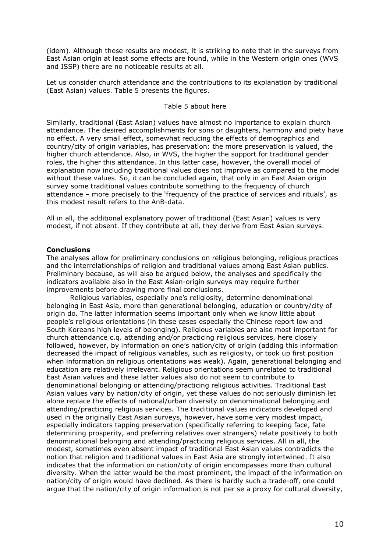(idem). Although these results are modest, it is striking to note that in the surveys from East Asian origin at least some effects are found, while in the Western origin ones (WVS and ISSP) there are no noticeable results at all.

Let us consider church attendance and the contributions to its explanation by traditional (East Asian) values. Table 5 presents the figures.

# Table 5 about here

Similarly, traditional (East Asian) values have almost no importance to explain church attendance. The desired accomplishments for sons or daughters, harmony and piety have no effect. A very small effect, somewhat reducing the effects of demographics and country/city of origin variables, has preservation: the more preservation is valued, the higher church attendance. Also, in WVS, the higher the support for traditional gender roles, the higher this attendance. In this latter case, however, the overall model of explanation now including traditional values does not improve as compared to the model without these values. So, it can be concluded again, that only in an East Asian origin survey some traditional values contribute something to the frequency of church attendance - more precisely to the 'frequency of the practice of services and rituals', as this modest result refers to the AnB-data.

All in all, the additional explanatory power of traditional (East Asian) values is very modest, if not absent. If they contribute at all, they derive from East Asian surveys.

### **Conclusions**

The analyses allow for preliminary conclusions on religious belonging, religious practices and the interrelationships of religion and traditional values among East Asian publics. Preliminary because, as will also be argued below, the analyses and specifically the indicators available also in the East Asian-origin surveys may require further improvements before drawing more final conclusions.

Religious variables, especially one's religiosity, determine denominational belonging in East Asia, more than generational belonging, education or country/city of origin do. The latter information seems important only when we know little about people's religious orientations (in these cases especially the Chinese report low and South Koreans high levels of belonging). Religious variables are also most important for church attendance c.g. attending and/or practicing religious services, here closely followed, however, by information on one's nation/city of origin (adding this information decreased the impact of religious variables, such as religiosity, or took up first position when information on religious orientations was weak). Again, generational belonging and education are relatively irrelevant. Religious orientations seem unrelated to traditional East Asian values and these latter values also do not seem to contribute to denominational belonging or attending/practicing religious activities. Traditional East Asian values vary by nation/city of origin, yet these values do not seriously diminish let alone replace the effects of national/urban diversity on denominational belonging and attending/practicing religious services. The traditional values indicators developed and used in the originally East Asian surveys, however, have some very modest impact, especially indicators tapping preservation (specifically referring to keeping face, fate determining prosperity, and preferring relatives over strangers) relate positively to both denominational belonging and attending/practicing religious services. All in all, the modest, sometimes even absent impact of traditional East Asian values contradicts the notion that religion and traditional values in East Asia are strongly intertwined. It also indicates that the information on nation/city of origin encompasses more than cultural diversity. When the latter would be the most prominent, the impact of the information on nation/city of origin would have declined. As there is hardly such a trade-off, one could arque that the nation/city of origin information is not per se a proxy for cultural diversity,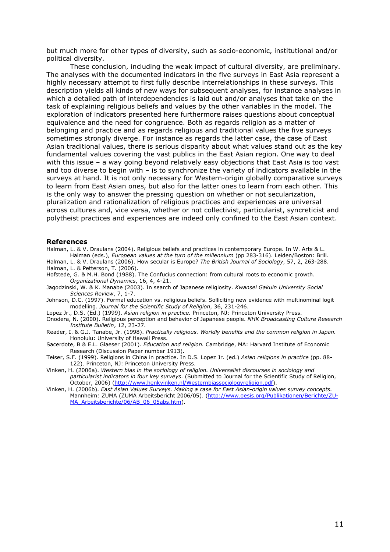but much more for other types of diversity, such as socio-economic, institutional and/or political diversity.

These conclusion, including the weak impact of cultural diversity, are preliminary. The analyses with the documented indicators in the five surveys in East Asia represent a highly necessary attempt to first fully describe interrelationships in these surveys. This description yields all kinds of new ways for subsequent analyses, for instance analyses in which a detailed path of interdependencies is laid out and/or analyses that take on the task of explaining religious beliefs and values by the other variables in the model. The exploration of indicators presented here furthermore raises questions about conceptual equivalence and the need for congruence. Both as regards religion as a matter of belonging and practice and as regards religious and traditional values the five surveys sometimes strongly diverge. For instance as regards the latter case, the case of East Asian traditional values, there is serious disparity about what values stand out as the key fundamental values covering the vast publics in the East Asian region. One way to deal with this issue  $-$  a way going beyond relatively easy objections that East Asia is too vast and too diverse to begin with - is to synchronize the variety of indicators available in the surveys at hand. It is not only necessary for Western-origin globally comparative surveys to learn from East Asian ones, but also for the latter ones to learn from each other. This is the only way to answer the pressing question on whether or not secularization, pluralization and rationalization of religious practices and experiences are universal across cultures and, vice versa, whether or not collectivist, particularist, syncreticist and polytheist practices and experiences are indeed only confined to the East Asian context.

#### **References**

Halman, L. & V. Draulans (2004). Religious beliefs and practices in contemporary Europe. In W. Arts & L. Halman (eds.), European values at the turn of the millennium (pp 283-316). Leiden/Boston: Brill. Halman, L. & V. Draulans (2006). How secular is Europe? The British Journal of Sociology, 57, 2, 263-288.

- Halman, L. & Petterson, T. (2006). Hofstede, G. & M.H. Bond (1988). The Confucius connection: from cultural roots to economic growth.
- Organizational Dynamics, 16, 4, 4-21. Jagodzinski, W. & K. Manabe (2003). In search of Japanese religiosity. Kwansej Gakujn University Social Sciences Review, 7, 1-7.
- Johnson, D.C. (1997). Formal education vs. religious beliefs. Solliciting new evidence with multinominal logit modelling. Journal for the Scientific Study of Religion, 36, 231-246.
- Lopez Jr., D.S. (Ed.) (1999). Asian religion in practice. Princeton, NJ: Princeton University Press.
- Onodera, N. (2000). Religious perception and behavior of Japanese people. NHK Broadcasting Culture Research Institute Bulletin, 12, 23-27.
- Reader, I. & G.J. Tanabe, Jr. (1998). Practically religious. Worldly benefits and the common religion in Japan. Honolulu: University of Hawaii Press.
- Sacerdote, B & E.L. Glaeser (2001). Education and religion. Cambridge, MA: Harvard Institute of Economic Research (Discussion Paper number 1913).
- Teiser, S.F. (1999). Religions in China in practice. In D.S. Lopez Jr. (ed.) Asian religions in practice (pp. 88-122). Princeton, NJ: Princeton University Press.
- Vinken, H. (2006a). Western bias in the sociology of religion. Universalist discourses in sociology and particularist indicators in four key surveys. (Submitted to Journal for the Scientific Study of Religion, .<br>October, 2006) (http://www.henkvinken.nl/Westernbiassociologyreligion.pdf).
- Vinken, H. (2006b). East Asian Values Surveys. Making a case for East Asian-origin values survey concepts. Mannheim: ZUMA (ZUMA Arbeitsbericht 2006/05). (http://www.gesis.org/Publikationen/Berichte/ZU-MA Arbeitsberichte/06/AB 06 05abs.htm).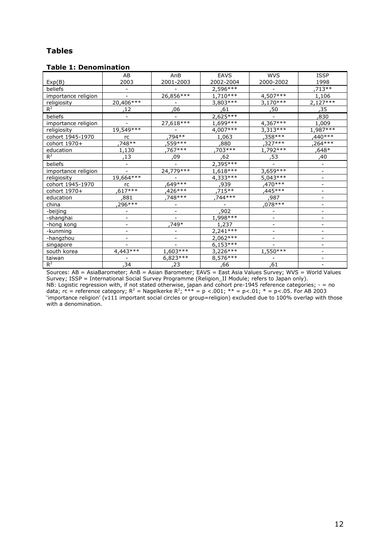# Tables

# Table 1: Denomination

|                     | AB                       | AnB                      | <b>EAVS</b> | <b>WVS</b>                   | <b>ISSP</b> |
|---------------------|--------------------------|--------------------------|-------------|------------------------------|-------------|
| Exp(B)              | 2003                     | 2001-2003                | 2002-2004   | 2000-2002                    | 1998        |
| beliefs             |                          |                          | $2,596***$  |                              | 713 **      |
| importance religion |                          | 26,856***                | $1,710***$  | $4,507***$                   | 1,106       |
| religiosity         | $20,406***$              |                          | 3,803***    | $3,170***$                   | $2,127***$  |
| $R^2$               | ,12                      | .06                      | .61         | ,50                          | ,35         |
| beliefs             | $\overline{\phantom{0}}$ |                          | $2,625***$  |                              | ,830        |
| importance religion |                          | $27,618***$              | $1,699***$  | 4,367 ***                    | 1,009       |
| religiosity         | $19,549***$              |                          | $4,007***$  | $3,313***$                   | $1,987***$  |
| cohort 1945-1970    | rc                       | ,794**                   | 1,063       | ,358 ***                     | $,440***$   |
| cohort 1970+        | .748**                   | ,559***                  | .880        | $,327***$                    | .264***     |
| education           | 1,130                    | .767***                  | ,703***     | $1,792***$                   | ,648*       |
| $R^2$               | ,13                      | ,09                      | 62,         | 53,                          | ,40         |
| beliefs             |                          |                          | $2,395***$  |                              |             |
| importance religion |                          | 24,779 ***               | $1,618***$  | $3,659***$                   |             |
| religiosity         | 19,664 ***               |                          | $4,333***$  | $5,043***$                   |             |
| cohort 1945-1970    | rc                       | ,649***                  | ,939        | $,470***$                    |             |
| cohort 1970+        | $617***$                 | ,426***                  | .715**      | $445***$                     |             |
| education           | .881                     | 748 ***                  | 744***      | .987                         |             |
| china               | $296***$                 | $\blacksquare$           |             | $.078***$                    |             |
| -beijing            | $\overline{a}$           | $\overline{\phantom{a}}$ | ,902        | $\qquad \qquad \blacksquare$ |             |
| <u>-shanghai</u>    |                          |                          | 1,998 ***   |                              |             |
| -hong kong          | ۰                        | .749*                    | 1,237       | $\overline{\phantom{0}}$     |             |
| -kunming            |                          | $\overline{\phantom{a}}$ | $2,241***$  |                              |             |
| -hangzhou           |                          |                          | $2,062***$  |                              |             |
| singapore           |                          |                          | $6,153***$  |                              |             |
| south korea         | $4,443***$               | $1,603***$               | $3,226***$  | 1,550 ***                    |             |
| taiwan              |                          | $6,823***$               | $8,576***$  |                              |             |
| $R^2$               | ,34                      | ,23                      | ,66         | ,61                          |             |

Sources: AB = AsiaBarometer; AnB = Asian Barometer; EAVS = East Asia Values Survey; WVS = World Values Survey; ISSP = International Social Survey Programme (Religion\_II Module; refers to Japan only). NB: Logistic regression with, if not stated otherwise, japan and cohort pre-1945 reference categories; - = no data; rc = reference category; R<sup>2</sup> = Nagelkerke R<sup>2</sup>; \*\*\* = p <.001; \*\* = p<.01; \* = p<.05. For AB 2003 'importance religion' (v111 important social circles or group=religion) excluded due to 100% overlap with those with a denomination.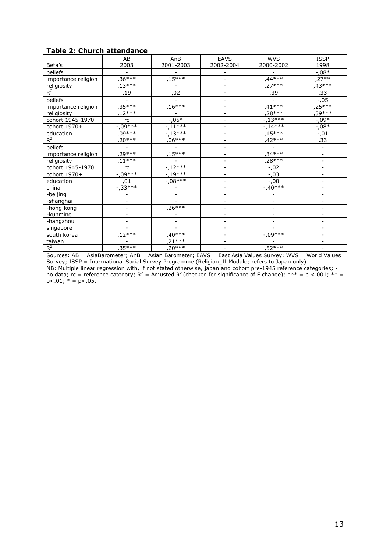# Table 2: Church attendance

|                     | AB                       | AnB                      | <b>EAVS</b>              | <b>WVS</b>               | <b>ISSP</b>              |
|---------------------|--------------------------|--------------------------|--------------------------|--------------------------|--------------------------|
| Beta's              | 2003                     | 2001-2003                | 2002-2004                | 2000-2002                | 1998                     |
| beliefs             |                          |                          | $\overline{\phantom{a}}$ |                          | $-0.08*$                 |
| importance religion | $36***$                  | $.15***$                 | $\overline{\phantom{a}}$ | $,44***$                 | ,27**                    |
| religiosity         | $13***$                  | $\overline{\phantom{a}}$ | $\overline{\phantom{a}}$ | $27***$                  | $.43***$                 |
| $R^2$               | ,19                      | ,02                      | $\blacksquare$           | ,39                      | ,33                      |
| beliefs             |                          |                          |                          |                          | $-.05$                   |
| importance religion | $35***$                  | $16***$                  | $\overline{\phantom{a}}$ | $,41***$                 | $25***$                  |
| religiosity         | $12***$                  |                          | $\overline{\phantom{a}}$ | .28***                   | $39***$                  |
| cohort 1945-1970    | rc                       | $-0.05*$                 | $\overline{\phantom{a}}$ | $-13***$                 | $-0.09*$                 |
| cohort 1970+        | $-.09***$                | $-11***$                 | $\overline{\phantom{a}}$ | $-.14***$                | $-0.08*$                 |
| education           | $,09***$                 | $-13***$                 | $\overline{\phantom{a}}$ | $.15***$                 | $-0.01$                  |
| $R^2$               | $20***$                  | $.06***$                 | $\overline{\phantom{a}}$ | $.42***$                 | ,33                      |
| beliefs             | $\overline{\phantom{a}}$ | $\overline{\phantom{a}}$ | $\overline{\phantom{a}}$ |                          | $\overline{\phantom{a}}$ |
| importance religion | $29***$                  | $.15***$                 | $\overline{\phantom{a}}$ | $.34***$                 |                          |
| religiosity         | $11***$                  |                          | $\overline{\phantom{m}}$ | $28***$                  | $\overline{\phantom{0}}$ |
| cohort 1945-1970    | rc                       | $-.12***$                | ÷                        | $-.02$                   |                          |
| cohort 1970+        | $-0.09***$               | $-19***$                 | $\overline{\phantom{a}}$ | $-0.03$                  | -                        |
| education           | ,01                      | $-0.08***$               | $\overline{\phantom{a}}$ | $-.00$                   |                          |
| china               | $-0.33***$               | $\overline{\phantom{a}}$ | $\overline{\phantom{a}}$ | $-40***$                 | $\overline{\phantom{m}}$ |
| -beijing            | $\blacksquare$           | $\blacksquare$           | $\overline{\phantom{a}}$ | $\blacksquare$           |                          |
| -shanghai           | $\blacksquare$           | ۳                        | $\overline{\phantom{a}}$ | $\overline{\phantom{a}}$ |                          |
| -hong kong          | $\overline{\phantom{a}}$ | $26***$                  | $\overline{\phantom{a}}$ | $\overline{\phantom{a}}$ | $\overline{\phantom{a}}$ |
| -kunming            | $\overline{\phantom{a}}$ | $\overline{\phantom{a}}$ |                          |                          |                          |
| -hangzhou           | $\blacksquare$           | $\overline{\phantom{a}}$ | $\overline{\phantom{a}}$ |                          |                          |
| singapore           |                          |                          |                          |                          |                          |
| south korea         | $12***$                  | $40***$                  | $\overline{\phantom{0}}$ | $-0.09***$               |                          |
| taiwan              |                          | $21***$                  |                          |                          |                          |
| $R^2$               | 35***                    | $20***$                  |                          | ,52***                   |                          |

Sources: AB = AsiaBarometer; AnB = Asian Barometer; EAVS = East Asia Values Survey; WVS = World Values Survey; ISSP = International Social Survey Programme (Religion\_II Module; refers to Japan only). NB: Multiple linear regression with, if not stated otherwise, japan and cohort pre-1945 reference categories; - = no data; rc = reference category; R<sup>2</sup> = Adjusted R<sup>2</sup> (checked for significance of F change); \*\*\* = p <.001; \*\* =  $p<.01; * = p<.05.$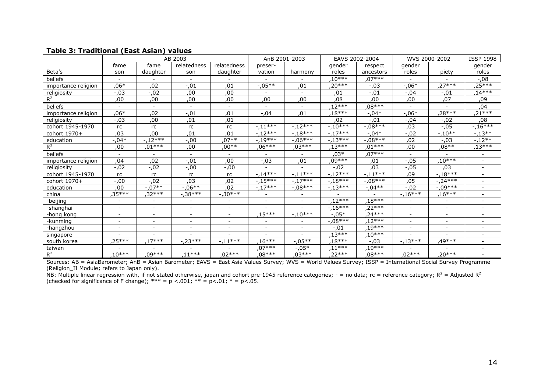|                     | AB 2003                  |                          | AnB 2001-2003            |                          | EAVS 2002-2004           |                | WVS 2000-2002 |            | <b>ISSP 1998</b>         |                |                          |
|---------------------|--------------------------|--------------------------|--------------------------|--------------------------|--------------------------|----------------|---------------|------------|--------------------------|----------------|--------------------------|
|                     | fame                     | fame                     | relatedness              | relatedness              | preser-                  |                | gender        | respect    | gender                   |                | gender                   |
| Beta's              | son                      | daughter                 | son                      | daughter                 | vation                   | harmony        | roles         | ancestors  | roles                    | piety          | roles                    |
| beliefs             |                          |                          |                          |                          |                          |                | $.10***$      | $.07***$   |                          |                | $-0.08$                  |
| importance religion | ,06*                     | ,02                      | $-0.01$                  | ,01                      | $-0.05**$                | ,01            | ,20***        | $-.03$     | $-0.06*$                 | $27***$        | ,25***                   |
| religiosity         | $-0.03$                  | $-0.02$                  | ,00                      | ,00                      | $\blacksquare$           | $\blacksquare$ | ,01           | $-0.01$    | $-0.04$                  | $-.01$         | $14***$                  |
| $R^2$               | ,00                      | ,00                      | ,00                      | ,00                      | ,00                      | ,00            | ,08           | ,00        | ,00                      | ,07            | ,09                      |
| beliefs             |                          | $\blacksquare$           | $\overline{\phantom{a}}$ |                          |                          |                | $12***$       | $.08***$   |                          |                | ,04                      |
| importance religion | .06*                     | ,02                      | $-.01$                   | ,01                      | $-0.04$                  | ,01            | .18***        | $-.04*$    | $-0.06*$                 | .28***         | ,21***                   |
| religiosity         | -,03                     | ,00                      | ,01                      | ,01                      |                          |                | ,02           | $-.01$     | $-0.04$                  | $-0.02$        | ,08                      |
| cohort 1945-1970    | rc                       | rc                       | rc                       | rc                       | $-.11***$                | $-.12***$      | $-.10***$     | $-.08***$  | ,03                      | $-.05$         | $-16***$                 |
| cohort 1970+        | ,03                      | ,00                      | ,01                      | ,01                      | $-12***$                 | $-18***$       | $-.17***$     | $-.04*$    | $-0.02$                  | $-.10**$       | $-13**$                  |
| education           | $-.04*$                  | $-.12***$                | $-0.00$                  | ,07**                    | $-.19***$                | $-.06***$      | $-.13***$     | $-.08***$  | ,02                      | $-0.03$        | $-.12**$                 |
| $R^2$               | ,00                      | $01***$                  | ,00                      | ,00**                    | ,06***                   | ,03***         | $13***$       | $.01***$   | ,00                      | ,08**          | ,13***                   |
| beliefs             | $\sim$                   | $\overline{\phantom{0}}$ | $\sim$                   | $\blacksquare$           | $\blacksquare$           | $\blacksquare$ | .03*          | .07***     | ÷.                       |                |                          |
| importance religion | ,04                      | ,02                      | $-0.01$                  | ,00                      | $-0.3$                   | ,01            | ,09***        | ,01        | $-0.05$                  | $.10***$       |                          |
| religiosity         | $-0.02$                  | $-0.02$                  | $-0.00$                  | $-.00$                   |                          | $\blacksquare$ | $-.02$        | .03        | $-0.05$                  | ,03            | $\overline{\phantom{0}}$ |
| cohort 1945-1970    | rc                       | rc                       | rc                       | rc                       | $-14***$                 | $-11***$       | $-12***$      | $-.11***$  | ,09                      | $-18***$       |                          |
| cohort 1970+        | $-0.00$                  | $-0.02$                  | ,03                      | ,02                      | $-15***$                 | $-17***$       | $-.18***$     | $-0.08***$ | ,05                      | $-24***$       | $\overline{\phantom{0}}$ |
| education           | ,00                      | $-07**$                  | $-0.06**$                | ,02                      | $-17***$                 | $-0.08***$     | $-13***$      | $-0.04**$  | $-.02$                   | $-0.09***$     |                          |
| china               | ,35***                   | ,32***                   | $-0.38***$               | $-0.30***$               | $\overline{\phantom{a}}$ |                |               |            | $-16***$                 | $16***$        |                          |
| -beijing            |                          | Ξ.                       | $\overline{\phantom{a}}$ | $\overline{\phantom{a}}$ | $\blacksquare$           | $\sim$         | $-.12***$     | $.18***$   |                          |                |                          |
| -shanghai           | $\overline{\phantom{a}}$ | $\overline{\phantom{a}}$ | $\overline{\phantom{a}}$ | $\overline{\phantom{a}}$ | $\qquad \qquad$          |                | $-.16***$     | $22***$    | $\overline{\phantom{a}}$ | $\blacksquare$ |                          |
| -hong kong          | $\overline{\phantom{a}}$ | ۰.                       | ۰.                       | $\overline{\phantom{a}}$ | ,15***                   | $-10***$       | $-.05*$       | $.24***$   | $\blacksquare$           | $\sim$         |                          |
| -kunming            |                          | $\overline{\phantom{0}}$ | $\overline{\phantom{a}}$ | $\overline{\phantom{a}}$ | $\overline{\phantom{a}}$ |                | $-08***$      | $12***$    |                          |                |                          |
| -hangzhou           |                          | $\overline{\phantom{0}}$ | $\blacksquare$           | $\blacksquare$           | $\blacksquare$           | $\sim$         | $-.01$        | .19***     | $\overline{\phantom{0}}$ |                |                          |
| singapore           |                          |                          |                          |                          |                          |                | $.13***$      | $10***$    |                          |                |                          |
| south korea         | ,25***                   | $17***$                  | $-23***$                 | $-11***$                 | $.16***$                 | $-0.05**$      | $18***$       | $-.03$     | $-13***$                 | ,49***         | -                        |
| taiwan              |                          |                          |                          |                          | $07***$                  | $-.05*$        | ,11***        | .19***     |                          |                |                          |
| $R^2$               | $10***$                  | .09***                   | $11***$                  | $.02***$                 | ,08***                   | $.03***$       | .22***        | $.08***$   | $.02***$                 | 20***          |                          |

# **Table 3: Traditional (East Asian) values**

Sources: AB = AsiaBarometer; AnB = Asian Barometer; EAVS = East Asia Values Survey; WVS = World Values Survey; ISSP = International Social Survey Programme (Religion\_II Module; refers to Japan only).

NB: Multiple linear regression with, if not stated otherwise, japan and cohort pre-1945 reference categories; - = no data; rc = reference category;  $R^2$  = Adjusted  $R^2$ (checked for significance of F change);  $*** = p < .001$ ;  $** = p < .01$ ;  $* = p < .05$ .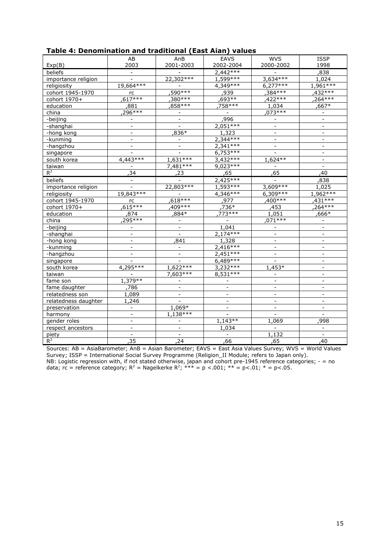| Table 4: Denomination and traditional (East Aian) values |  |
|----------------------------------------------------------|--|
|----------------------------------------------------------|--|

| rabic 4. Denomination and traditional (Last Alan) values |                              |                          |                          |                              |                          |
|----------------------------------------------------------|------------------------------|--------------------------|--------------------------|------------------------------|--------------------------|
|                                                          | AB                           | AnB                      | <b>EAVS</b>              | <b>WVS</b>                   | <b>ISSP</b>              |
| Exp(B)                                                   | 2003                         | 2001-2003                | 2002-2004                | 2000-2002                    | 1998                     |
| beliefs                                                  |                              |                          | $2,442***$               |                              | ,838                     |
| importance religion                                      |                              | 22,302 ***               | $1,599***$               | $3,634***$                   | 1,024                    |
| religiosity                                              | 19,664 ***                   | $\bar{\phantom{a}}$      | $4,349***$               | $6,277***$                   | 1,961 ***                |
| cohort 1945-1970                                         | rc                           | $,590***$                | ,939                     | $,384***$                    | $.432***$                |
| cohort 1970+                                             | $617***$                     | $,380***$                | .693**                   | $422***$                     | $264***$                 |
| education                                                | 881,                         | ,858***                  | .758***                  | 1,034                        | $.667*$                  |
| china                                                    | 296***                       | $\overline{\phantom{a}}$ | $\overline{\phantom{a}}$ | $073***$                     | $\blacksquare$           |
| -beijing                                                 |                              | $\blacksquare$           | ,996                     |                              | $\blacksquare$           |
| -shanghai                                                |                              |                          | $2,051***$               |                              |                          |
| -hong kong                                               | $\overline{a}$               | ,836*                    | 1,323                    | $\overline{a}$               | $\overline{a}$           |
| -kunming                                                 | $\qquad \qquad \blacksquare$ |                          | $2,344***$               | $\overline{\phantom{a}}$     | $\overline{\phantom{a}}$ |
| -hangzhou                                                |                              | $\overline{\phantom{a}}$ | $2,341***$               | $\overline{a}$               | $\overline{\phantom{a}}$ |
| singapore                                                |                              |                          | $6,753***$               |                              |                          |
| south korea                                              | $4,443***$                   | $1,631***$               | $3,432***$               | 1,624 **                     | $\blacksquare$           |
| taiwan                                                   |                              | $7,481***$               | $9,023***$               |                              | $\blacksquare$           |
| $R^2$                                                    | 34                           | .23                      | ,65                      | 65                           | ,40                      |
| beliefs                                                  |                              |                          | $2,425***$               |                              | ,838                     |
| importance religion                                      |                              | 22,803 ***               | $1,593***$               | $3,609***$                   | 1,025                    |
| religiosity                                              | 19,843 ***                   |                          | 4,346 ***                | 6,309 ***                    | $1,962***$               |
| cohort 1945-1970                                         | rc                           | $.618***$                | ,977                     | $,400***$                    | $.431***$                |
| cohort 1970+                                             | 615***                       | 409***                   | ,736*                    | ,453                         | ,264***                  |
| education                                                | ,874                         | ,884*                    | .773***                  | 1,051                        | .666*                    |
| china                                                    | 295***                       |                          |                          | $.071***$                    |                          |
| -beijing                                                 |                              |                          | 1,041                    |                              |                          |
| -shanghai                                                | $\blacksquare$               | $\overline{a}$           | $2,174***$               | $\overline{\phantom{a}}$     | $\equiv$                 |
| -hong kong                                               | $\bar{\phantom{a}}$          | 841                      | 1,328                    | $\equiv$                     | $\blacksquare$           |
| -kunming                                                 |                              |                          | $2,416***$               |                              |                          |
| -hangzhou                                                | $\overline{a}$               | $\blacksquare$           | $2,451***$               | $\overline{a}$               | $\mathbf{r}$             |
| singapore                                                |                              |                          | $6,489***$               |                              |                          |
| south korea                                              | 4,295 ***                    | $1,622***$               | $3,232***$               | 1,453*                       |                          |
| taiwan                                                   |                              | 7,603 ***                | $8,531***$               | $\blacksquare$               | $\overline{a}$           |
| fame son                                                 | 1,379 **                     | $\blacksquare$           | $\blacksquare$           | $\blacksquare$               | $\blacksquare$           |
| fame daughter                                            | 786                          | $\blacksquare$           | $\overline{\phantom{a}}$ | $\bar{\phantom{a}}$          | $\overline{\phantom{a}}$ |
| relatedness son                                          | 1,089                        |                          |                          |                              |                          |
| relatedness daughter                                     | 1,246                        |                          | $\overline{\phantom{a}}$ | $\overline{\phantom{a}}$     | $\blacksquare$           |
| preservation                                             |                              | 1,069*                   | $\bar{\phantom{a}}$      | $\blacksquare$               |                          |
| harmony                                                  |                              | 1,138 ***                |                          |                              |                          |
| gender roles                                             | $\overline{a}$               |                          | $1,143**$                | 1,069                        | 998                      |
| respect ancestors                                        | $\blacksquare$               |                          | 1,034                    | $\qquad \qquad \blacksquare$ | $\equiv$                 |
| piety                                                    | $\blacksquare$               | $\overline{\phantom{a}}$ | $\overline{\phantom{a}}$ | 1,132                        | $\equiv$                 |
| $R^2$                                                    | 35                           | 24                       | 66                       | 65                           | 40                       |

Sources: AB = AsiaBarometer; AnB = Asian Barometer; EAVS = East Asia Values Survey; WVS = World Values Survey; ISSP = International Social Survey Programme (Religion\_II Module; refers to Japan only). NB: Logistic regression with, if not stated otherwise, japan and cohort pre-1945 reference categories; - = no data; rc = reference category;  $R^2$  = Nagelkerke  $R^2$ ; \*\*\* = p <.001; \*\* = p<.01; \* = p<.05.